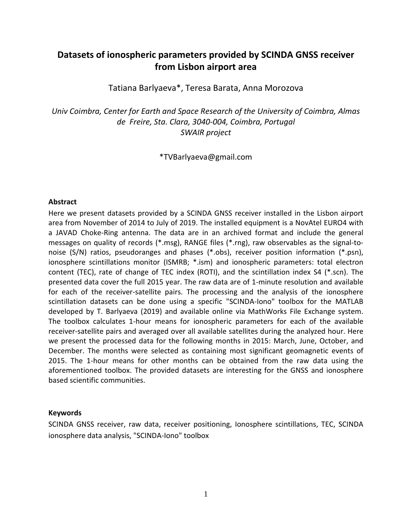# **Datasets of ionospheric parameters provided by SCINDA GNSS receiver from Lisbon airport area**

Tatiana Barlyaeva\*, Teresa Barata, Anna Morozova

*Univ Coimbra, Center for Earth and Space Research of the University of Coimbra, Almas de Freire, Sta. Clara, 3040-004, Coimbra, Portugal SWAIR project*

\*TVBarlyaeva@gmail.com

#### **Abstract**

Here we present datasets provided by a SCINDA GNSS receiver installed in the Lisbon airport area from November of 2014 to July of 2019. The installed equipment is a NovAtel EURO4 with a JAVAD Choke-Ring antenna. The data are in an archived format and include the general messages on quality of records (\*.msg), RANGE files (\*.rng), raw observables as the signal-tonoise (S/N) ratios, pseudoranges and phases (\*.obs), receiver position information (\*.psn), ionosphere scintillations monitor (ISMRB; \*.ism) and ionospheric parameters: total electron content (TEC), rate of change of TEC index (ROTI), and the scintillation index S4 (\*.scn). The presented data cover the full 2015 year. The raw data are of 1-minute resolution and available for each of the receiver-satellite pairs. The processing and the analysis of the ionosphere scintillation datasets can be done using a specific "SCINDA-Iono" toolbox for the MATLAB developed by T. Barlyaeva (2019) and available online via MathWorks File Exchange system. The toolbox calculates 1-hour means for ionospheric parameters for each of the available receiver-satellite pairs and averaged over all available satellites during the analyzed hour. Here we present the processed data for the following months in 2015: March, June, October, and December. The months were selected as containing most significant geomagnetic events of 2015. The 1-hour means for other months can be obtained from the raw data using the aforementioned toolbox. The provided datasets are interesting for the GNSS and ionosphere based scientific communities.

#### **Keywords**

SCINDA GNSS receiver, raw data, receiver positioning, Ionosphere scintillations, TEC, SCINDA ionosphere data analysis, "SCINDA-Iono" toolbox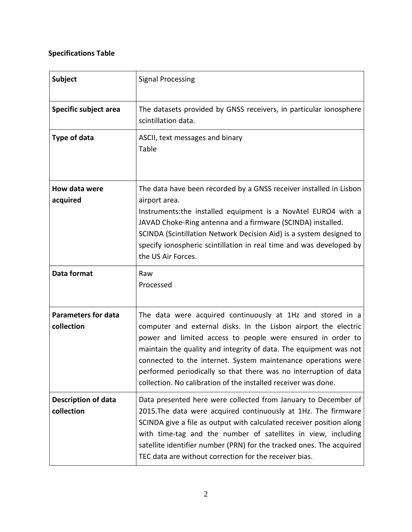# **Specifications Table**

| <b>Subject</b>                           | <b>Signal Processing</b>                                                                                                                                                                                                                                                                                                                                                                                                                                                 |
|------------------------------------------|--------------------------------------------------------------------------------------------------------------------------------------------------------------------------------------------------------------------------------------------------------------------------------------------------------------------------------------------------------------------------------------------------------------------------------------------------------------------------|
| Specific subject area                    | The datasets provided by GNSS receivers, in particular ionosphere<br>scintillation data.                                                                                                                                                                                                                                                                                                                                                                                 |
| <b>Type of data</b>                      | ASCII, text messages and binary<br>Table                                                                                                                                                                                                                                                                                                                                                                                                                                 |
| How data were<br>acquired                | The data have been recorded by a GNSS receiver installed in Lisbon<br>airport area.<br>Instruments: the installed equipment is a NovAtel EURO4 with a<br>JAVAD Choke-Ring antenna and a firmware (SCINDA) installed.<br>SCINDA (Scintillation Network Decision Aid) is a system designed to<br>specify ionospheric scintillation in real time and was developed by<br>the US Air Forces.                                                                                 |
| Data format                              | Raw<br>Processed                                                                                                                                                                                                                                                                                                                                                                                                                                                         |
| <b>Parameters for data</b><br>collection | The data were acquired continuously at 1Hz and stored in a<br>computer and external disks. In the Lisbon airport the electric<br>power and limited access to people were ensured in order to<br>maintain the quality and integrity of data. The equipment was not<br>connected to the internet. System maintenance operations were<br>performed periodically so that there was no interruption of data<br>collection. No calibration of the installed receiver was done. |
| <b>Description of data</b><br>collection | Data presented here were collected from January to December of<br>2015. The data were acquired continuously at 1Hz. The firmware<br>SCINDA give a file as output with calculated receiver position along<br>with time-tag and the number of satellites in view, including<br>satellite identifier number (PRN) for the tracked ones. The acquired<br>TEC data are without correction for the receiver bias.                                                              |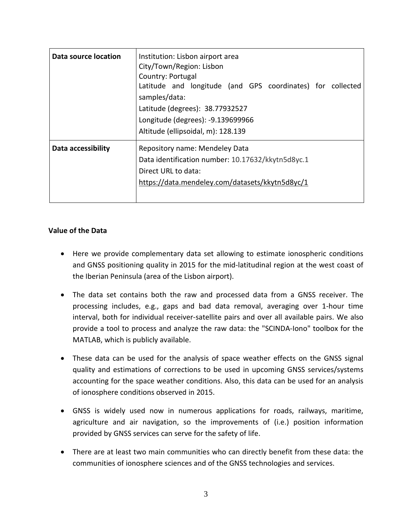| Data source location | Institution: Lisbon airport area<br>City/Town/Region: Lisbon<br>Country: Portugal<br>Latitude and longitude (and GPS coordinates) for collected<br>samples/data:<br>Latitude (degrees): 38.77932527<br>Longitude (degrees): -9.139699966<br>Altitude (ellipsoidal, m): 128.139 |
|----------------------|--------------------------------------------------------------------------------------------------------------------------------------------------------------------------------------------------------------------------------------------------------------------------------|
| Data accessibility   | Repository name: Mendeley Data<br>Data identification number: 10.17632/kkytn5d8yc.1<br>Direct URL to data:<br>https://data.mendeley.com/datasets/kkytn5d8yc/1                                                                                                                  |

#### **Value of the Data**

- Here we provide complementary data set allowing to estimate ionospheric conditions and GNSS positioning quality in 2015 for the mid-latitudinal region at the west coast of the Iberian Peninsula (area of the Lisbon airport).
- The data set contains both the raw and processed data from a GNSS receiver. The processing includes, e.g., gaps and bad data removal, averaging over 1-hour time interval, both for individual receiver-satellite pairs and over all available pairs. We also provide a tool to process and analyze the raw data: the "SCINDA-Iono" toolbox for the MATLAB, which is publicly available.
- These data can be used for the analysis of space weather effects on the GNSS signal quality and estimations of corrections to be used in upcoming GNSS services/systems accounting for the space weather conditions. Also, this data can be used for an analysis of ionosphere conditions observed in 2015.
- GNSS is widely used now in numerous applications for roads, railways, maritime, agriculture and air navigation, so the improvements of (i.e.) position information provided by GNSS services can serve for the safety of life.
- There are at least two main communities who can directly benefit from these data: the communities of ionosphere sciences and of the GNSS technologies and services.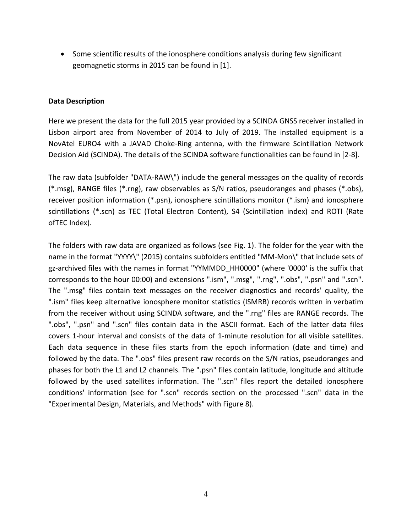• Some scientific results of the ionosphere conditions analysis during few significant geomagnetic storms in 2015 can be found in [1].

## **Data Description**

Here we present the data for the full 2015 year provided by a SCINDA GNSS receiver installed in Lisbon airport area from November of 2014 to July of 2019. The installed equipment is a NovAtel EURO4 with a JAVAD Choke-Ring antenna, with the firmware Scintillation Network Decision Aid (SCINDA). The details of the SCINDA software functionalities can be found in [2-8].

The raw data (subfolder "DATA-RAW\") include the general messages on the quality of records (\*.msg), RANGE files (\*.rng), raw observables as S/N ratios, pseudoranges and phases (\*.obs), receiver position information (\*.psn), ionosphere scintillations monitor (\*.ism) and ionosphere scintillations (\*.scn) as TEC (Total Electron Content), S4 (Scintillation index) and ROTI (Rate ofTEC Index).

The folders with raw data are organized as follows (see Fig. 1). The folder for the year with the name in the format "YYYY\" (2015) contains subfolders entitled "MM-Mon\" that include sets of gz-archived files with the names in format "YYMMDD\_HH0000" (where '0000' is the suffix that corresponds to the hour 00:00) and extensions ".ism", ".msg", ".rng", ".obs", ".psn" and ".scn". The ".msg" files contain text messages on the receiver diagnostics and records' quality, the ".ism" files keep alternative ionosphere monitor statistics (ISMRB) records written in verbatim from the receiver without using SCINDA software, and the ".rng" files are RANGE records. The ".obs", ".psn" and ".scn" files contain data in the ASCII format. Each of the latter data files covers 1-hour interval and consists of the data of 1-minute resolution for all visible satellites. Each data sequence in these files starts from the epoch information (date and time) and followed by the data. The ".obs" files present raw records on the S/N ratios, pseudoranges and phases for both the L1 and L2 channels. The ".psn" files contain latitude, longitude and altitude followed by the used satellites information. The ".scn" files report the detailed ionosphere conditions' information (see for ".scn" records section on the processed ".scn" data in the "Experimental Design, Materials, and Methods" with Figure 8).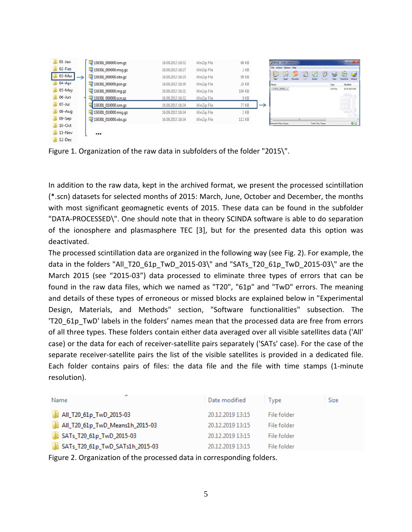| $01$ -Jan             | 150301_000000.ism.gz | 16.09.2015 16:32 | WinZip File | 66 KB           |   | 3 Wn2p - 150301 000000 amgr |                   |          |   |                       |   |           |               | <b>CONTINUE</b>    |
|-----------------------|----------------------|------------------|-------------|-----------------|---|-----------------------------|-------------------|----------|---|-----------------------|---|-----------|---------------|--------------------|
| $02$ -Feb             | 150301 000000.msg.gz | 16.09.2015 16:27 | WinZip File | 1 KB            |   | File Actions Options Help   |                   |          |   |                       |   |           |               |                    |
| 03-Mar<br>→           | 150301 000000.obs.gz | 16.09.2015 16:35 | WinZip File | 99 KB           |   | C<br>New                    | 員<br><b>Open</b>  | Eavoides | C | GF.<br>Estract        | Ď | ۵<br>View | Œ<br>CheckOut | $\omega$<br>Wizerd |
| $04 - Apr$            | 150301_000000.psn.qz | 16.09.2015 16:30 | WinZip File | 24 KB           |   | Name                        |                   |          |   |                       |   | Type      | Modified      |                    |
| $05-May$              | 150301 000000.rng.gz | 16.09.2015 16:31 | WinZip File | 194 KB          |   |                             | 150301_000000.scn |          |   |                       |   | SCN File  |               | 01.03.2015 0:59    |
| $06 - Jun$            | 150301 000000.scn.gz | 16.09.2015 16:32 | WinZip File | 9 <sub>KB</sub> |   |                             |                   |          |   |                       |   |           |               |                    |
| $\blacksquare$ 07-Jul | 150301 010000.ism.gz | 16.09.2015 16:34 | WinZip File | 77 KB           | → |                             |                   |          |   |                       |   |           | $\Xi$         |                    |
| $08 - Aug$            | 150301 010000.msg.gz | 16.09.2015 16:34 | WinZip File | 1 KB            |   |                             |                   |          |   |                       |   |           |               |                    |
| $09-Sep$              | 150301 010000.obs.qz | 16.09.2015 16:34 | WinZip File | 112 KB          |   |                             |                   |          |   |                       |   |           |               |                    |
| 10-Oct                |                      |                  |             |                 |   | Selected D files, 0 bytes   |                   |          |   | Total 1 file, ? bytes |   |           |               | 00                 |
| $11 - Nov$            | $\cdots$             |                  |             |                 |   |                             |                   |          |   |                       |   |           |               |                    |
| $12-Dec$              |                      |                  |             |                 |   |                             |                   |          |   |                       |   |           |               |                    |

Figure 1. Organization of the raw data in subfolders of the folder "2015\".

In addition to the raw data, kept in the archived format, we present the processed scintillation (\*.scn) datasets for selected months of 2015: March, June, October and December, the months with most significant geomagnetic events of 2015. These data can be found in the subfolder "DATA-PROCESSED\". One should note that in theory SCINDA software is able to do separation of the ionosphere and plasmasphere TEC [3], but for the presented data this option was deactivated.

The processed scintillation data are organized in the following way (see Fig. 2). For example, the data in the folders "All\_T20\_61p\_TwD\_2015-03\" and "SATs\_T20\_61p\_TwD\_2015-03\" are the March 2015 (see "2015-03") data processed to eliminate three types of errors that can be found in the raw data files, which we named as "T20", "61p" and "TwD" errors. The meaning and details of these types of erroneous or missed blocks are explained below in "Experimental Design, Materials, and Methods" section, "Software functionalities" subsection. The 'T20\_61p\_TwD' labels in the folders' names mean that the processed data are free from errors of all three types. These folders contain either data averaged over all visible satellites data ('All' case) or the data for each of receiver-satellite pairs separately ('SATs' case). For the case of the separate receiver-satellite pairs the list of the visible satellites is provided in a dedicated file. Each folder contains pairs of files: the data file and the file with time stamps (1-minute resolution).

| Name                            | Date modified    | Type        | Size |
|---------------------------------|------------------|-------------|------|
| All_T20_61p_TwD_2015-03         | 20.12.2019 13:15 | File folder |      |
| All_T20_61p_TwD_Means1h_2015-03 | 20.12.2019 13:15 | File folder |      |
| SATs_T20_61p_TwD_2015-03        | 20.12.2019 13:15 | File folder |      |
| SATs_T20_61p_TwD_SATs1h_2015-03 | 20.12.2019 13:15 | File folder |      |

Figure 2. Organization of the processed data in corresponding folders.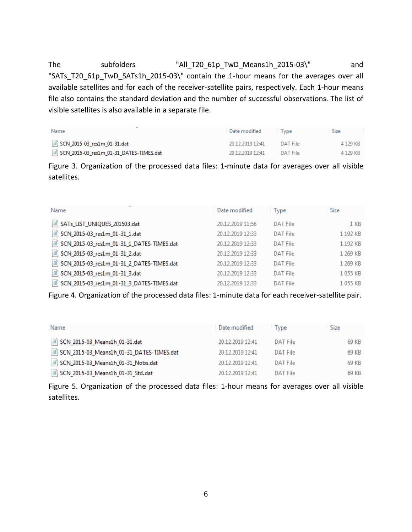The subfolders "All\_T20\_61p\_TwD\_Means1h\_2015-03\" and "SATs\_T20\_61p\_TwD\_SATs1h\_2015-03\" contain the 1-hour means for the averages over all available satellites and for each of the receiver-satellite pairs, respectively. Each 1-hour means file also contains the standard deviation and the number of successful observations. The list of visible satellites is also available in a separate file.

| Name                                    | Date modified    | <b>I</b> vpe | Size       |
|-----------------------------------------|------------------|--------------|------------|
| SCN_2015-03_res1m_01-31.dat             | 20.12.2019 12:41 | DAT File     | 4 1 2 9 KB |
| SCN_2015-03_res1m_01-31_DATES-TIMES.dat | 20.12.2019 12:41 | DAT File     | 4 129 KB   |

Figure 3. Organization of the processed data files: 1-minute data for averages over all visible satellites.

| Name                                      | Date modified    | <b>Type</b>     | Size            |
|-------------------------------------------|------------------|-----------------|-----------------|
| SATs_LIST_UNIQUES_201503.dat              | 20.12.2019 11:56 | <b>DAT File</b> | 1 <sub>KB</sub> |
| SCN_2015-03_res1m_01-31_1.dat             | 20.12.2019 12:33 | <b>DAT File</b> | 1 192 KB        |
| SCN_2015-03_res1m_01-31_1_DATES-TIMES.dat | 20.12.2019 12:33 | <b>DAT File</b> | 1 192 KB        |
| SCN_2015-03_res1m_01-31_2.dat             | 20.12.2019 12:33 | <b>DAT File</b> | 1 269 KB        |
| SCN_2015-03_res1m_01-31_2_DATES-TIMES.dat | 20.12.2019 12:33 | <b>DAT File</b> | 1 269 KB        |
| SCN_2015-03_res1m_01-31_3.dat             | 20.12.2019 12:33 | DAT File        | 1055 KB         |
| SCN_2015-03_res1m_01-31_3_DATES-TIMES.dat | 20.12.2019 12:33 | DAT File        | 1055 KB         |

Figure 4. Organization of the processed data files: 1-minute data for each receiver-satellite pair.

| Name                                      | Date modified    | Type     | Size  |
|-------------------------------------------|------------------|----------|-------|
| 31.dat 3CN 2015-03 Means1h 01-31.dat      | 20.12.2019 12:41 | DAT File | 69 KB |
| SCN_2015-03_Means1h_01-31_DATES-TIMES.dat | 20.12.2019 12:41 | DAT File | 69 KB |
| SCN_2015-03_Means1h_01-31_Nobs.dat        | 20.12.2019 12:41 | DAT File | 69 KB |
| SCN 2015-03 Means1h 01-31 Std.dat         | 20.12.2019 12:41 | DAT File | 69 KB |

Figure 5. Organization of the processed data files: 1-hour means for averages over all visible satellites.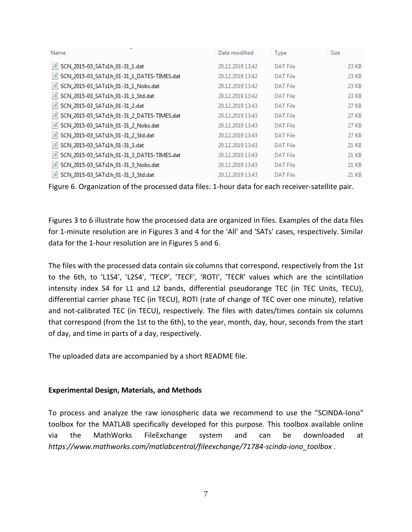| Name                                       | Date modified    | Type            | Size  |
|--------------------------------------------|------------------|-----------------|-------|
| SCN_2015-03_SATs1h_01-31_1.dat             | 20.12.2019 13:42 | <b>DAT File</b> | 23 KB |
| SCN_2015-03_SATs1h_01-31_1_DATES-TIMES.dat | 20.12.2019 13:42 | <b>DAT File</b> | 23 KB |
| SCN_2015-03_SATs1h_01-31_1_Nobs.dat        | 20.12.2019 13:42 | <b>DAT File</b> | 23 KB |
| SCN_2015-03_SATs1h_01-31_1_Std.dat         | 20.12.2019 13:42 | <b>DAT File</b> | 23 KB |
| SCN_2015-03_SATs1h_01-31_2.dat             | 20.12.2019 13:43 | <b>DAT File</b> | 27 KB |
| SCN_2015-03_SATs1h_01-31_2_DATES-TIMES.dat | 20.12.2019 13:43 | <b>DAT File</b> | 27 KB |
| SCN_2015-03_SATs1h_01-31_2_Nobs.dat        | 20.12.2019 13:43 | <b>DAT File</b> | 27 KB |
| SCN_2015-03_SATs1h_01-31_2_Std.dat         | 20.12.2019 13:43 | <b>DAT File</b> | 27 KB |
| SCN_2015-03_SATs1h_01-31_3.dat             | 20.12.2019 13:43 | <b>DAT File</b> | 21 KB |
| SCN_2015-03_SATs1h_01-31_3_DATES-TIMES.dat | 20.12.2019 13:43 | <b>DAT File</b> | 21 KB |
| SCN_2015-03_SATs1h_01-31_3_Nobs.dat        | 20.12.2019 13:43 | <b>DAT File</b> | 21 KB |
| SCN_2015-03_SATs1h_01-31_3_Std.dat         | 20.12.2019 13:43 | <b>DAT File</b> | 21 KB |

Figure 6. Organization of the processed data files: 1-hour data for each receiver-satellite pair.

Figures 3 to 6 illustrate how the processed data are organized in files. Examples of the data files for 1-minute resolution are in Figures 3 and 4 for the 'All' and 'SATs' cases, respectively. Similar data for the 1-hour resolution are in Figures 5 and 6.

The files with the processed data contain six columns that correspond, respectively from the 1st to the 6th, to 'L1S4', 'L2S4', 'TECP', 'TECF', 'ROTI', 'TECR' values which are the scintillation intensity index S4 for L1 and L2 bands, differential pseudorange TEC (in TEC Units, TECU), differential carrier phase TEC (in TECU), ROTI (rate of change of TEC over one minute), relative and not-calibrated TEC (in TECU), respectively. The files with dates/times contain six columns that correspond (from the 1st to the 6th), to the year, month, day, hour, seconds from the start of day, and time in parts of a day, respectively.

The uploaded data are accompanied by a short README file.

#### **Experimental Design, Materials, and Methods**

To process and analyze the raw ionospheric data we recommend to use the "SCINDA-Iono" toolbox for the MATLAB specifically developed for this purpose. This toolbox available online via the MathWorks FileExchange system and can be downloaded at *https://www.mathworks.com/matlabcentral/fileexchange/71784-scinda-iono\_toolbox* .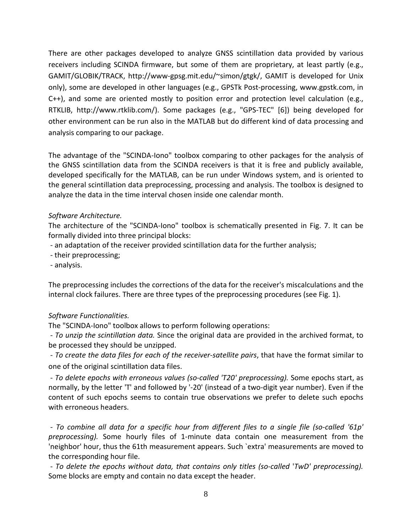There are other packages developed to analyze GNSS scintillation data provided by various receivers including SCINDA firmware, but some of them are proprietary, at least partly (e.g., GAMIT/GLOBIK/TRACK, http://www-gpsg.mit.edu/~simon/gtgk/, GAMIT is developed for Unix only), some are developed in other languages (e.g., GPSTk Post-processing, www.gpstk.com, in C++), and some are oriented mostly to position error and protection level calculation (e.g., RTKLIB, http://www.rtklib.com/). Some packages (e.g., "GPS-TEC" [6]) being developed for other environment can be run also in the MATLAB but do different kind of data processing and analysis comparing to our package.

The advantage of the "SCINDA-Iono" toolbox comparing to other packages for the analysis of the GNSS scintillation data from the SCINDA receivers is that it is free and publicly available, developed specifically for the MATLAB, can be run under Windows system, and is oriented to the general scintillation data preprocessing, processing and analysis. The toolbox is designed to analyze the data in the time interval chosen inside one calendar month.

## *Software Architecture.*

The architecture of the "SCINDA-Iono" toolbox is schematically presented in Fig. 7. It can be formally divided into three principal blocks:

- an adaptation of the receiver provided scintillation data for the further analysis;

- their preprocessing;
- analysis.

The preprocessing includes the corrections of the data for the receiver's miscalculations and the internal clock failures. There are three types of the preprocessing procedures (see Fig. 1).

#### *Software Functionalities.*

The "SCINDA-Iono" toolbox allows to perform following operations:

- *To unzip the scintillation data.* Since the original data are provided in the archived format, to be processed they should be unzipped.

- *To create the data files for each of the receiver-satellite pairs*, that have the format similar to one of the original scintillation data files.

- *To delete epochs with erroneous values (so-called 'T20' preprocessing).* Some epochs start, as normally, by the letter 'T' and followed by '-20' (instead of a two-digit year number). Even if the content of such epochs seems to contain true observations we prefer to delete such epochs with erroneous headers.

- *To combine all data for a specific hour from different files to a single file (so-called '61p' preprocessing).* Some hourly files of 1-minute data contain one measurement from the 'neighbor' hour, thus the 61th measurement appears. Such `extra' measurements are moved to the corresponding hour file.

- *To delete the epochs without data, that contains only titles (so-called* '*TwD' preprocessing).* Some blocks are empty and contain no data except the header.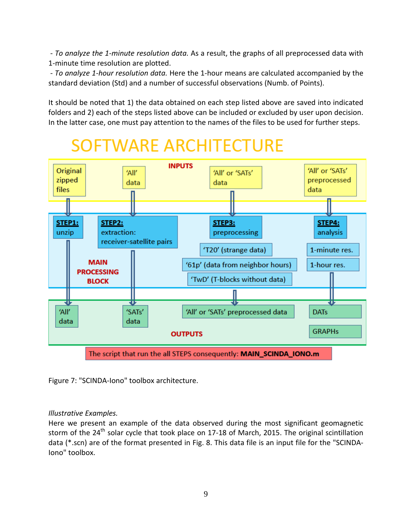- *To analyze the 1-minute resolution data.* As a result, the graphs of all preprocessed data with 1-minute time resolution are plotted.

- *To analyze 1-hour resolution data.* Here the 1-hour means are calculated accompanied by the standard deviation (Std) and a number of successful observations (Numb. of Points).

It should be noted that 1) the data obtained on each step listed above are saved into indicated folders and 2) each of the steps listed above can be included or excluded by user upon decision. In the latter case, one must pay attention to the names of the files to be used for further steps.

# **SOFTWARE ARCHITECTURE**



Figure 7: "SCINDA-Iono" toolbox architecture.

## *Illustrative Examples.*

Here we present an example of the data observed during the most significant geomagnetic storm of the 24<sup>th</sup> solar cycle that took place on 17-18 of March, 2015. The original scintillation data (\*.scn) are of the format presented in Fig. 8. This data file is an input file for the "SCINDA-Iono" toolbox.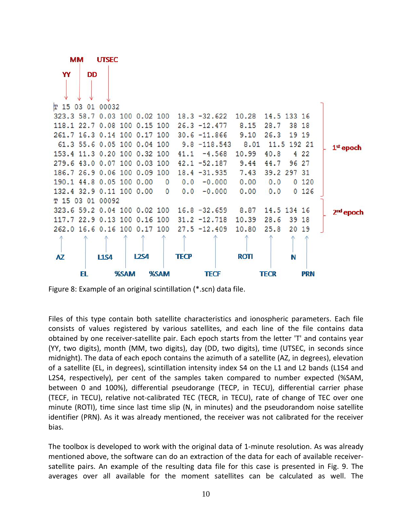

Figure 8: Example of an original scintillation (\*.scn) data file.

Files of this type contain both satellite characteristics and ionospheric parameters. Each file consists of values registered by various satellites, and each line of the file contains data obtained by one receiver-satellite pair. Each epoch starts from the letter 'T' and contains year (YY, two digits), month (MM, two digits), day (DD, two digits), time (UTSEC, in seconds since midnight). The data of each epoch contains the azimuth of a satellite (AZ, in degrees), elevation of a satellite (EL, in degrees), scintillation intensity index S4 on the L1 and L2 bands (L1S4 and L2S4, respectively), per cent of the samples taken compared to number expected (%SAM, between 0 and 100%), differential pseudorange (TECP, in TECU), differential carrier phase (TECF, in TECU), relative not-calibrated TEC (TECR, in TECU), rate of change of TEC over one minute (ROTI), time since last time slip (N, in minutes) and the pseudorandom noise satellite identifier (PRN). As it was already mentioned, the receiver was not calibrated for the receiver bias.

The toolbox is developed to work with the original data of 1-minute resolution. As was already mentioned above, the software can do an extraction of the data for each of available receiversatellite pairs. An example of the resulting data file for this case is presented in Fig. 9. The averages over all available for the moment satellites can be calculated as well. The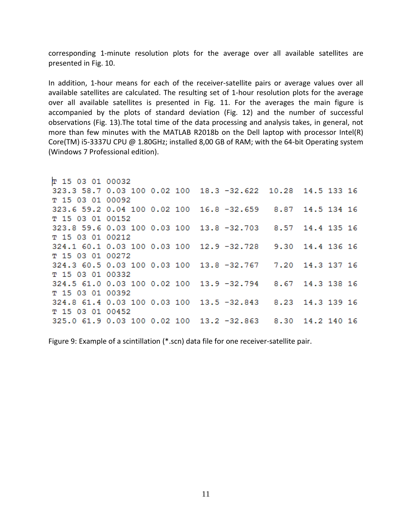corresponding 1-minute resolution plots for the average over all available satellites are presented in Fig. 10.

In addition, 1-hour means for each of the receiver-satellite pairs or average values over all available satellites are calculated. The resulting set of 1-hour resolution plots for the average over all available satellites is presented in Fig. 11. For the averages the main figure is accompanied by the plots of standard deviation (Fig. 12) and the number of successful observations (Fig. 13).The total time of the data processing and analysis takes, in general, not more than few minutes with the MATLAB R2018b on the Dell laptop with processor Intel(R) Core(TM) i5-3337U CPU @ 1.80GHz; installed 8,00 GB of RAM; with the 64-bit Operating system (Windows 7 Professional edition).

```
T 15 03 01 00032
323.3 58.7 0.03 100 0.02 100 18.3 -32.622 10.28 14.5 133 16
T 15 03 01 00092
323.6 59.2 0.04 100 0.02 100 16.8 -32.659 8.87 14.5 134 16
T 15 03 01 00152
323.8 59.6 0.03 100 0.03 100 13.8 -32.703
                                           8.57 14.4 135 16
T 15 03 01 00212
324.1 60.1 0.03 100 0.03 100
                             12.9 -32.728
                                           9.30 14.4 136 16
T 15 03 01 00272
324.3 60.5 0.03 100 0.03 100 13.8 -32.767
                                           7.20 14.3 137 16
T 15 03 01 00332
324.5 61.0 0.03 100 0.02 100 13.9 -32.794
                                           8.67 14.3 138 16
T 15 03 01 00392
324.8 61.4 0.03 100 0.03 100
                             13.5 - 32.8438.23 14.3 139 16
T 15 03 01 00452
325.0 61.9 0.03 100 0.02 100 13.2 -32.863
                                           8.30 14.2 140 16
```
Figure 9: Example of a scintillation (\*.scn) data file for one receiver-satellite pair.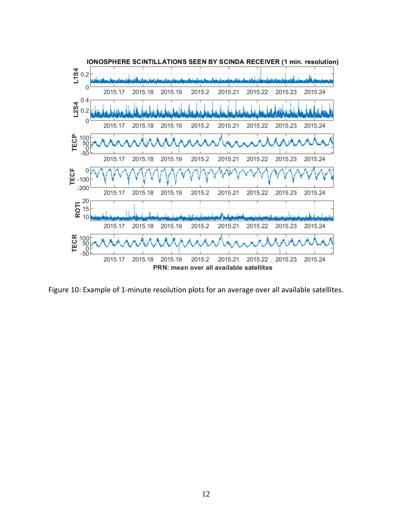

Figure 10: Example of 1-minute resolution plots for an average over all available satellites.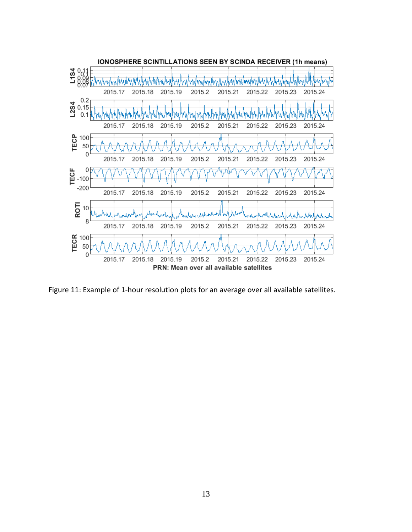

Figure 11: Example of 1-hour resolution plots for an average over all available satellites.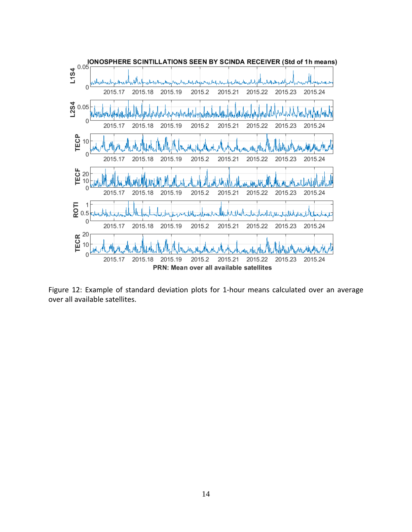

Figure 12: Example of standard deviation plots for 1-hour means calculated over an average over all available satellites.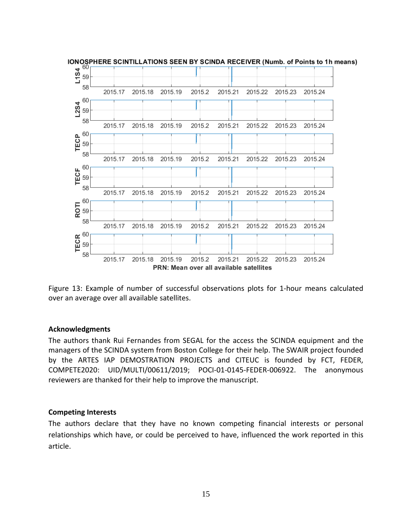

Figure 13: Example of number of successful observations plots for 1-hour means calculated over an average over all available satellites.

#### **Acknowledgments**

The authors thank Rui Fernandes from SEGAL for the access the SCINDA equipment and the managers of the SCINDA system from Boston College for their help. The SWAIR project founded by the ARTES IAP DEMOSTRATION PROJECTS and CITEUC is founded by FCT, FEDER, COMPETE2020: UID/MULTI/00611/2019; POCI-01-0145-FEDER-006922. The anonymous reviewers are thanked for their help to improve the manuscript.

#### **Competing Interests**

The authors declare that they have no known competing financial interests or personal relationships which have, or could be perceived to have, influenced the work reported in this article.